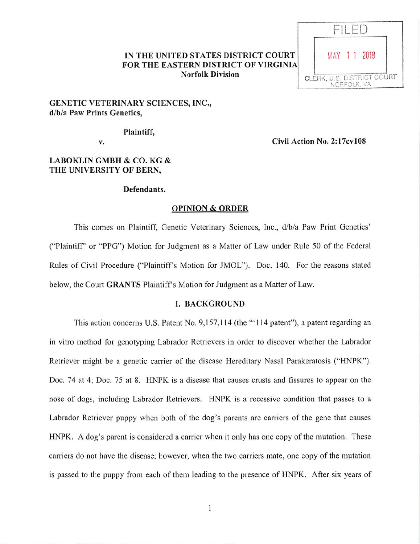### IN THE UNITED STATES DISTRICT COURT FOR THE EASTERN DISTRICT OF VIRGINIA Norfolk Division



## GENETIC VETERINARY SCIENCES, INC., d/b/a Paw Prints Genetics,

Plaintiff,

V. Civil Action No. 2:17cvl08

# LABOKLIN GMBH & CO. KG & THE UNIVERSITY OF BERN,

### Defendants.

### OPINION & ORDER

This comes on Plaintiff, Genetic Veterinary Sciences, Inc., d/b/a Paw Print Genetics' ("Plaintiff' or "PPG") Motion for Judgment as a Matter of Law under Rule 50 of the Federal Rules of Civil Procedure ("Plaintiffs Motion for JMOL"). Doc. 140. For the reasons stated below, the Court GRANTS Plaintiff's Motion for Judgment as a Matter of Law.

### I. BACKGROUND

This action concerns U.S. Patent No. 9,157,114 (the "'114 patent"), a patent regarding an in vitro method for genotyping Labrador Retrievers in order to discover whether the Labrador Retriever might be a genetic carrier of the disease Hereditary Nasal Parakeratosis ("HNPK"). Doc. 74 at 4; Doc. 75 at 8. HNPK is a disease that causes crusts and fissures to appear on the nose of dogs, including Labrador Retrievers. HNPK is a recessive condition that passes to a Labrador Retriever puppy when both of the dog's parents are carriers of the gene that causes HNPK. A dog's parent is considered a carrier when it only has one copy of the mutation. These carriers do not have the disease; however, when the two carriers mate, one copy of the mutation is passed to the puppy from each of them leading to the presence of HNPK. After six years of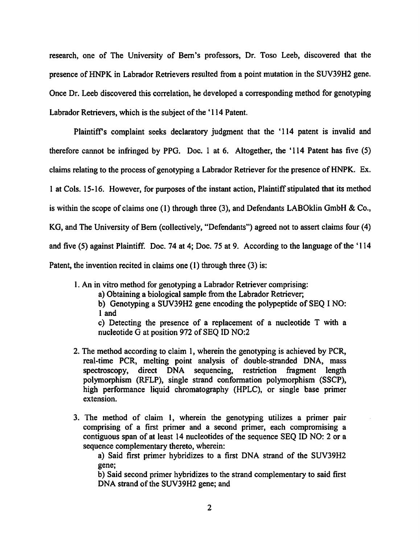research, one of The University of Bern's professors, Dr. Toso Leeb, discovered that the presence ofHNPK in Labrador Retrievers resulted from a point mutation in the SUV39H2 gene. Once Dr. Leeb discovered this correlation, he developed a corresponding method for genotyping Labrador Retrievers, which is the subject of the '114 Patent.

Plaintiff's complaint seeks declaratory judgment that the '114 patent is invalid and therefore cannot be infiringed by PPG. Doc. 1 at 6. Altogether, the '114 Patent has five (5) claims relating to the process of genotyping a Labrador Retriever for the presence of HNPK. Ex. 1 at Cols. 15-16. However, for purposes of the instant action, Plaintiff stipulated that its method is within the scope of claims one (1) through three (3), and Defendants LABOklin GmbH & Co., KG, and The University of Bern (collectively, "Defendants") agreed not to assert claims four (4) and five (5) against Plaintiff. Doc. 74 at 4; Doc. 75 at 9. According to the language of the '114 Patent, the invention recited in claims one (1) through three (3) is:

1. An in vitro method for genotyping a Labrador Retriever comprising:

a) Obtaining a biological sample from the Labrador Retriever;

b) Genotyping a SUV39H2 gene encoding the polypeptide of SEQ I NO: 1 and

c) Detecting the presence of a replacement of a nucleotide T with a nucleotide G at position 972 of SEQ ID N0:2

- 2. The method according to claim 1, wherein the genotyping is achieved by PGR, real-time PCR, melting point analysis of double-stranded DNA, mass spectroscopy, direct DNA sequencing, restriction fragment length polymorphism (RFLP), single strand conformation polymorphism (SSCP), high performance liquid chromatography (HPLC), or single base primer extension.
- 3. The method of claim I, wherein the genotyping utilizes a primer pair comprising of a first primer and a second primer, each compromising a contiguous span of at least 14 nucleotides of the sequence SEQ ID NO: 2 or a sequence complementary thereto, wherein:

a) Said first primer hybridizes to a first DNA strand of the SUV39H2 gene;

b) Said second primer hybridizes to the strand complementary to said first DNA strand of the SUV39H2 gene; and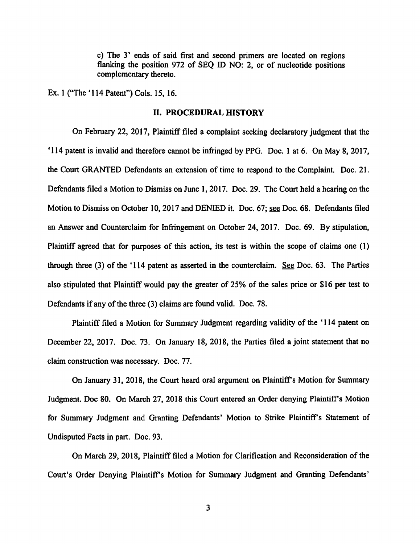c) The 3' ends of said first and second primers are located on regions flanking the position 972 of SEQ ID NO: 2, or of nucleotide positions complementary thereto.

Ex. 1 ("The '114 Patent") Cols. 15,16.

#### 11. PROCEDURAL HISTORY

On February 22, 2017, Plaintiff filed a complaint seeking declaratory judgment that the '114 patent is invalid and therefore cannot be infringed by PPG. Doc. 1 at 6. On May 8, 2017, the Court GRANTED Defendants an extension of time to respond to the Complaint. Doc. 21. Defendants filed a Motion to Dismiss on June 1,2017. Doc. 29. The Court held a hearing on the Motion to Dismiss on October 10,2017 and DENIED it. Doc. 67; see Doc. 68. Defendants filed an Answer and Counterclaim for Infringement on October 24, 2017. Doc. 69. By stipulation, Plaintiff agreed that for purposes of this action, its test is within the scope of claims one (1) through three (3) of the '114 patent as asserted in the counterclaim. See Doc. 63. The Parties also stipulated that Plaintiff would pay the greater of 25% of the sales price or \$16 per test to Defendants if any of the three (3) claims are found valid. Doc. 78.

Plaintiff filed a Motion for Summary Judgment regarding validity of the '114 patent on December 22, 2017. Doc. 73. On January 18, 2018, the Parties filed a joint statement that no claim construction was necessary. Doc. 77.

On January 31, 2018, the Court heard oral argument on Plaintiff's Motion for Summary Judgment. Doc 80. On March 27, 2018 this Court entered an Order denying Plaintiff's Motion for Summary Judgment and Granting Defendants' Motion to Strike Plaintiff's Statement of Undisputed Facts in part. Doc. 93.

On March 29, 2018. Plaintiff filed a Motion for Clarification and Reconsideration of the Court's Order Denying Plaintiffs Motion for Summary Judgment and Granting Defendants'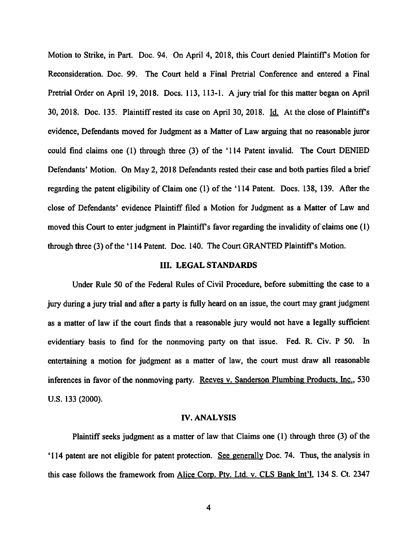Motion to Strike, in Part. Doc. 94. On April 4, 2018, this Court denied Plaintiffs Motion for Reconsideration. Doc. 99. The Court held a Final Pretrial Conference and entered a Final Pretrial Order on April 19, 2018. Docs. 113, 113-1. A jury trial for this matter began on April 30, 2018. Doc. 135. Plaintiff rested its case on April 30, 2018. Id. At the close of Plaintiff's evidence. Defendants moved for Judgment as a Matter of Law arguing that no reasonable juror could find claims one (1) through three (3) of the '114 Patent invalid. The Court DENIED Defendants' Motion. On May 2, 2018 Defendants rested their case and both parties filed a brief regarding the patent eligibility of Claim one (1) of the '114 Patent. Docs. 138, 139. After the close of Defendants' evidence Plaintiff filed a Motion for Judgment as a Matter of Law and moved this Court to enter judgment in Plaintiff's favor regarding the invalidity of claims one (1) through three (3) of the '114 Patent. Doc. 140. The Court GRANTED Plaintiff's Motion.

#### III. LEGAL STANDARDS

Under Rule 50 of the Federal Rules of Civil Procedure, before submitting the case to a jury during a jury trial and after a party is fully heard on an issue, the court may grant judgment as a matter of law if the court finds that a reasonable jury would not have a legally sufficient evidentiary basis to find for the nonmoving party on that issue. Fed. R. Civ. P 50. In entertaining a motion for judgment as a matter of law, the court must draw all reasonable inferences in favor of the nonmoving party. Reeves v. Sanderson Plumbing Products, Inc., 530 U.S. 133 (2000).

#### IV. ANALYSIS

Plaintiff seeks judgment as a matter of law that Claims one (1) through three (3) of the '114 patent are not eligible for patent protection. See eenerallv Doc. 74. Thus, the analysis in this case follows the framework from Alice Corp. Pty. Ltd. v. CLS Bank Int'l, 134 S. Ct. 2347

 $\overline{4}$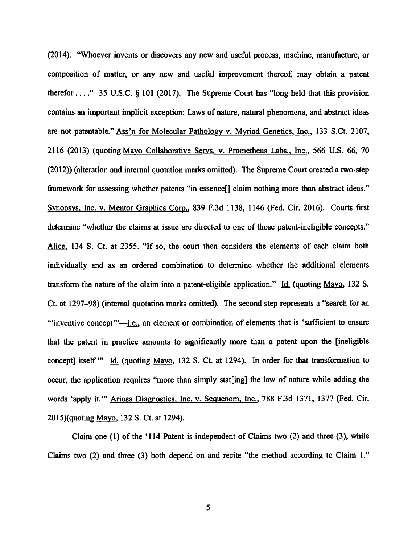(2014). "Whoever invents or discovers any new and useful process, machine, manufacture, or composition of matter, or any new and useful improvement thereof, may obtain a patent therefor  $\ldots$  " 35 U.S.C. § 101 (2017). The Supreme Court has "long held that this provision contains an important implicit exception: Laws of nature, natural phenomena, and abstract ideas are not patentable." Ass'n for Molecular Pathology v. Myriad Genetics, Inc., 133 S.Ct. 2107, 2116 (2013) (quoting Mavo Collaborative Servs. v. Prometheus Labs.. Inc.. 566 U.S. 66, 70 (2012)) (alteration and internal quotation marks omitted). The Supreme Court created a two-step framework for assessing whether patents "in essence[] claim nothing more than abstract ideas." Svnopsvs. Inc. v. Mentor Graphics Corp.. 839 F.3d 1138, 1146 (Fed. Cir. 2016). Courts first determine "whether the claims at issue are directed to one of those patent-ineligible concepts." Alice. 134 S. Ct. at 2355. "If so, the court then considers the elements of each claim both individually and as an ordered combination to determine whether the additional elements transform the nature of the claim into a patent-eligible application." Id. (quoting Mayo, 132 S. Ct. at 1297-98)(internal quotation marks omitted). The second step represents a "search for an "'inventive concept"' $-i.e.,$  an element or combination of elements that is 'sufficient to ensure that the patent in practice amounts to significantly more than a patent upon the [ineligible concept] itself." Id. (quoting Mayo, 132 S. Ct. at 1294). In order for that transformation to occur, the application requires "more than simply stat[ing] the law of nature while adding the words 'apply it.'" Ariosa Diagnostics. Inc. v. Sequenom. Inc.. 788 F.3d 1371, 1377 (Fed. Cir. 2015)(quoting <u>Mayo</u>, 132 S. Ct. at 1294).

Claim one (1) of the '114 Patent is independent of Claims two (2) and three (3), while Claims two (2) and three (3) both depend on and recite "the method according to Claim 1."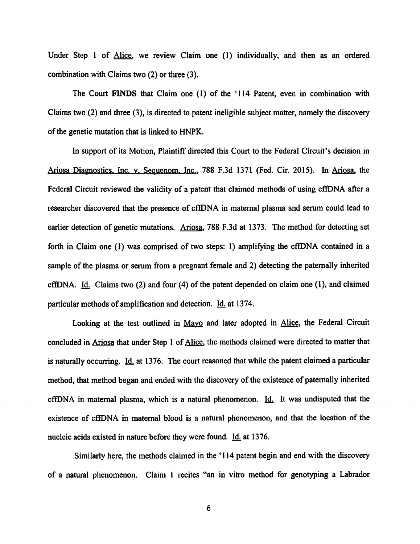Under Step 1 of Alice, we review Claim one (1) individually, and then as an ordered combination with Claims two (2) or three (3),

The Court FINDS that Claim one (1) of the '114 Patent, even in combination with Claims two (2) and three (3), is directed to patent ineligible subject matter, namely the discovery of the genetic mutation that is linked to HNPK.

In support of its Motion, Plaintiff directed this Court to the Federal Circuit's decision in Ariosa Diagnostics, Inc. v. Sequenom, Inc., 788 F.3d 1371 (Fed. Cir. 2015). In Ariosa, the Federal Circuit reviewed the validity of a patent that claimed methods of using cffDNA after a researcher discovered that the presence of cffDNA in maternal plasma and serum could lead to earlier detection of genetic mutations. Ariosa, 788 F.3d at 1373. The method for detecting set forth in Claim one (1) was comprised of two steps: 1) amplifying the cffDNA contained in a sample of the plasma or serum from a pregnant female and 2) detecting the paternally inherited cffDNA. Id. Claims two (2) and four (4) of the patent depended on claim one (1), and claimed particular methods of amplification and detection.  $\underline{Id}$  at 1374.

Looking at the test outlined in Mayo and later adopted in Alice, the Federal Circuit concluded in Ariosa that under Step 1 of Alice, the methods claimed were directed to matter that is naturally occurring. Id. at 1376. The court reasoned that while the patent claimed a particular method, that method began and ended with the discovery of the existence of paternally inherited cffDNA in maternal plasma, which is a natural phenomenon.  $Id$ . It was undisputed that the existence of cffDNA in maternal blood is a natural phenomenon, and that the location of the nucleic acids existed in nature before they were found. Id. at 1376.

Similarly here, the methods claimed in the '114 patent begin and end with the discovery of a natural phenomenon. Claim I recites "an in vitro method for genotyping a Labrador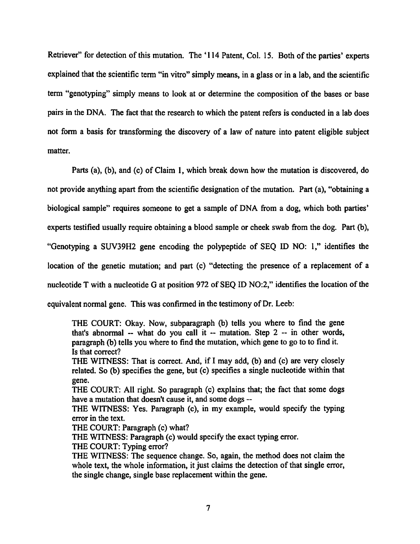Retriever" for detection of this mutation. The '114 Patent, Col. 15. Both of the parties' experts explained that the scientific term "in vitro" simply means, in a glass or in a lab, and the scientific term "genotyping" simply means to look at or determine the composition of the bases or base pairs in the DNA. The fact that the research to which the patent refers is conducted in a lab does not form a basis for transforming the discovery of a law of nature into patent eligible subject matter.

Parts (a), (b), and (c) of Claim 1, which break down how the mutation is discovered, do not provide anything apart from the scientific designation of the mutation. Part  $(a)$ , "obtaining a biological sample" requires someone to get a sample of DNA from a dog, which both parties' experts testified usually require obtaining a blood sample or cheek swab from the dog. Part (b), "Genotyping a SUV39H2 gene encoding the polypeptide of SEQ ID NO: 1," identifies the location of the genetic mutation; and part (c) "detecting the presence of a replacement of a nucleotide T with a nucleotide G at position 972 of SEQ ID NO:2," identifies the location of the equivalent normal gene. This was confirmed in the testimony of Dr. Leeb:

THE COURT: Okay. Now, subparagraph (b) tells you where to find the gene that's abnormal  $-$  what do you call it  $-$  mutation. Step  $2 -$  in other words, paragraph (b) tells you where to find the mutation, which gene to go to to find it. Is that correct?

THE WITNESS: That is correct. And, if I may add, (b) and (c) are very closely related. So (b) specifies the gene, but (c) specifies a single nucleotide within that gene.

THE COURT: All right. So paragraph (c) explains that; the fact that some dogs have a mutation that doesn't cause it, and some dogs --

THE WITNESS: Yes. Paragraph (c), in my example, would specify the typing error in the text.

THE COURT: Paragraph (c) what?

THE WITNESS: Paragraph (c) would specify the exact typing error.

THE COURT: Typing error?

THE WITNESS: The sequence change. So, again, the method does not claim the whole text, the whole information, it just claims the detection of that single error, the single change, single base replacement within the gene.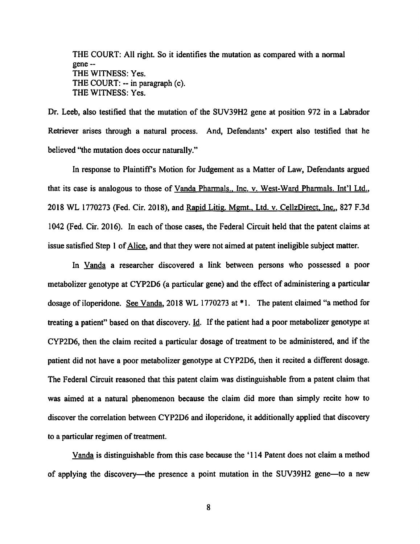THE COURT: All right. So it identifies the mutation as compared with a normal gene - THE WITNESS: Yes. THE COURT: -- in paragraph (c). THE WITNESS: Yes.

Dr. Leeb, also testified that the mutation of the SUV39H2 gene at position 972 in a Labrador Retriever arises through a natural process. And, Defendants' expert also testified that he believed "the mutation does occur naturally."

In response to Plaintiff's Motion for Judgement as a Matter of Law, Defendants argued that its case is analogous to those of Vanda Pharmals., Inc. v. West-Ward Pharmals. Int'l Ltd., 2018 WL 1770273 (Fed. Cir. 2018), and Rapid Litig. Memt.. Ltd. v. CellzDirect. Inc.. 827 F.3d 1042 (Fed. Cir. 2016). In each of those cases, the Federal Circuit held that the patent claims at issue satisfied Step 1 of Alice, and that they were not aimed at patent ineligible subject matter.

In Vanda a researcher discovered a link between persons who possessed a poor metabolizer genotype at CYP2D6 (a particular gene) and the effect of administering a particular dosage of iloperidone. See Vanda. 2018WL 1770273 at \*1. The patent claimed "a method for treating a patient" based on that discovery. Id. If the patient had a poor metabolizer genotype at CYP2D6, then the claim recited a particular dosage of treatment to be administered, and if the patient did not have a poor metabolizer genotype at CYP2D6, then it recited a different dosage. The Federal Circuit reasoned that this patent claim was distinguishable from a patent claim that was aimed at a natural phenomenon because the claim did more than simply recite how to discover the correlation between CYP2D6 and iloperidone, it additionally applied that discovery to a particular regimen of treatment.

Vanda is distinguishable from this case because the '114 Patent does not claim a method of applying the discovery—^the presence a point mutation in the SUV39H2 gene—to a new

8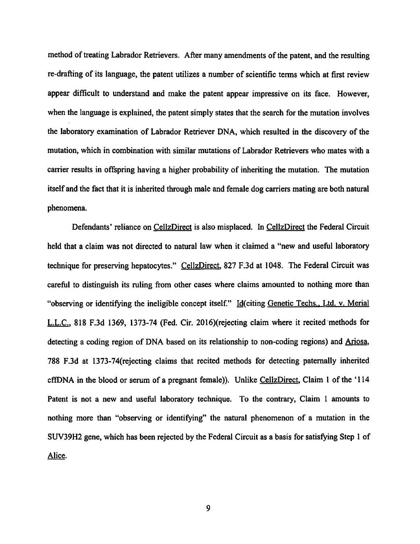method of treating Labrador Retrievers. After many amendments of the patent, and the resulting re-drafting of its language, the patent utilizes a number of scientific terms which at first review appear difficult to understand and make the patent appear impressive on its face. However, when the language is explained, the patent simply states that the search for the mutation involves the laboratory examination of Labrador Retriever DNA, which resulted in the discovery of the mutation, which in combination with similar mutations of Labrador Retrievers who mates with a carrier results in offspring having a higher probability of inheriting the mutation. The mutation itself and the fact that it is inherited through male and female dog carriers mating are both natural phenomena.

Defendants' reliance on CellzDirect is also misplaced. In CellzDirect the Federal Circuit held that a claim was not directed to natural law when it claimed a "new and useful laboratory technique for preserving hepatocytes." CellzDirect, 827 F.3d at 1048. The Federal Circuit was careful to distinguish its ruling from other cases where claims amounted to nothing more than "observing or identifying the ineligible concept itself." Id(citing Genetic Techs., Ltd. v. Merial L.L.C.. 818 F.3d 1369, 1373-74 (Fed. Cir. 2016)(rejecting claim where it recited methods for detecting a coding region of DNA based on its relationship to non-coding regions) and Ariosa, 788 F.3d at I373-74(rejecting claims that recited methods for detecting patemally inherited cflfDNA in the blood or serum of a pregnant female)). Unlike CellzDirect. Claim 1 of the '114 Patent is not a new and useful laboratory technique. To the contrary. Claim 1 amounts to nothing more than "observing or identifying" the natural phenomenon of a mutation in the SUV39H2 gene, which has been rejected by the Federal Circuit as a basis for satisfying Step 1 of Alice.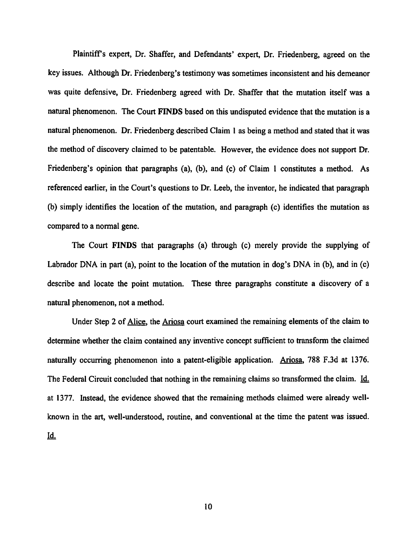Plaintiffs expert. Dr. Shaffer, and Defendants' expert. Dr. Friedenberg, agreed on the key issues. Although Dr. Friedenberg's testimonywassometimes inconsistent and his demeanor was quite defensive, Dr. Friedenberg agreed with Dr. Shaffer that the mutation itself was a natural phenomenon. The Court FINDS based on this undisputed evidence that the mutation is a natural phenomenon. Dr. Friedenberg described Claim 1 as being a method and stated that it was the method of discovery claimed to be patentable. However, the evidence does not support Dr. Friedenberg's opinion that paragraphs (a), (b), and (c) of Claim 1 constitutes a method. As referenced earlier, in the Court's questions to Dr. Leeb, the inventor, he indicated that paragraph (b) simply identifies the location of the mutation, and paragraph (c) identifies the mutation as compared to a normal gene.

The Court FINDS that paragraphs (a) through (c) merely provide the supplying of Labrador DNA in part (a), point to the location of the mutation in dog's DNA in (b), and in (c) describe and locate the point mutation. These three paragraphs constimte a discovery of a natural phenomenon, not a method.

Under Step 2 of Alice, the Ariosa court examined the remaining elements of the claim to determine whether the claim contained any inventive concept sufficient to transform the claimed naturally occurring phenomenon into a patent-eligible application. Ariosa. 788 F.3d at 1376. The Federal Circuit concluded that nothing in the remaining claims so transformed the claim. Id. at 1377. Instead, the evidence showed that the remaining methods claimed were already wellknown in the art, well-understood, routine, and conventional at the time the patent was issued. 14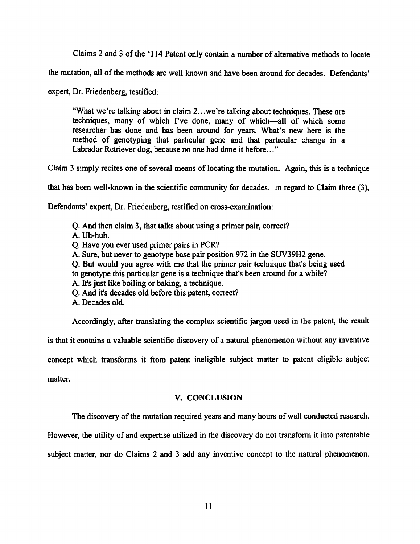Claims 2 and 3 of the '114 Patent only contain a number of alternative methods to locate

the mutation, all of the methods are well known and have been around for decades. Defendants'

expert, Dr. Friedenberg, testified:

"What we're talking about in claim 2...we're talking about techniques. These are techniques, many of which I've done, many of which—all of which some researcher has done and has been around for years. What's new here is the method of genotyping that particular gene and that particular change in a Labrador Retriever dog, because no one had done it before..."

Claim 3 simply recites one of several means of locating the mutation. Again, this is a technique

that has been well-known in the scientific community for decades. In regard to Claim three (3),

Defendants' expert, Dr. Friedenberg, testified on cross-examination:

Q. And then claim 3, that talks about using a primer pair, correct?

A. Uh-huh.

- Q. Have you ever used primer pairs in PCR?
- A. Sure, but never to genotype base pair position 972 in the SUV39H2 gene.
- Q. But would you agree with me that the primer pair technique that's being used
- to genotype this particular gene is a technique that's been around for a while?
- A. It's just like boiling or baking, a technique.
- Q. And it's decades old before this patent, correct?
- A. Decades old.

Accordingly, after translating the complex scientific jargon used in the patent, the result

is that it contains a valuable scientific discovery of a natural phenomenon without any inventive

concept which transforms it from patent ineligible subject matter to patent eligible subject

matter.

#### V. CONCLUSION

The discovery of the mutation required years and many hours of well conducted research.

However, the utility of and expertise utilized in the discovery do not transform it into patentable

subject matter, nor do Claims 2 and 3 add any inventive concept to the natural phenomenon.